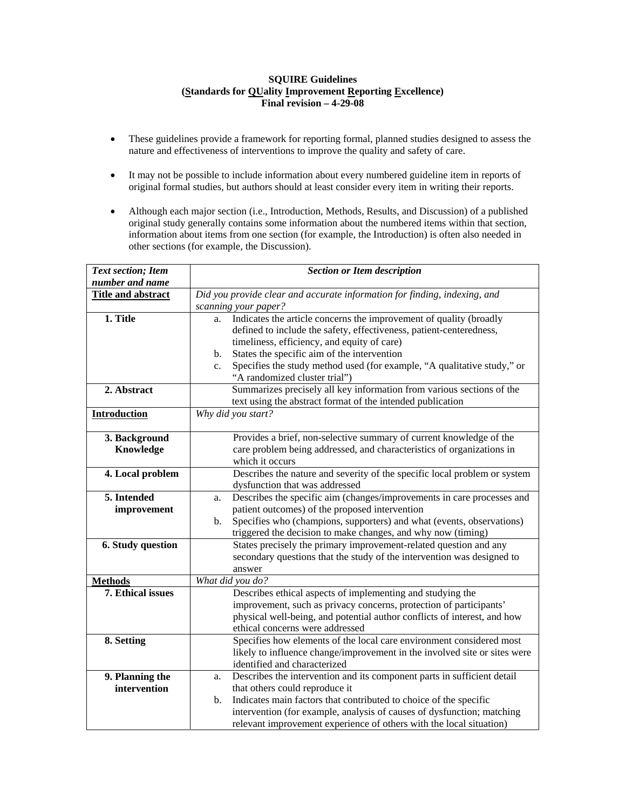## **SQUIRE Guidelines (Standards for QUality Improvement Reporting Excellence) Final revision – 4-29-08**

- These guidelines provide a framework for reporting formal, planned studies designed to assess the nature and effectiveness of interventions to improve the quality and safety of care.
- It may not be possible to include information about every numbered guideline item in reports of original formal studies, but authors should at least consider every item in writing their reports.
- Although each major section (i.e., Introduction, Methods, Results, and Discussion) of a published original study generally contains some information about the numbered items within that section, information about items from one section (for example, the Introduction) is often also needed in other sections (for example, the Discussion).

| <b>Text section; Item</b>           | <b>Section or Item description</b>                                                     |
|-------------------------------------|----------------------------------------------------------------------------------------|
| number and name                     |                                                                                        |
| <b>Title and abstract</b>           | Did you provide clear and accurate information for finding, indexing, and              |
|                                     | scanning your paper?                                                                   |
| 1. Title                            | Indicates the article concerns the improvement of quality (broadly<br>a.               |
|                                     | defined to include the safety, effectiveness, patient-centeredness,                    |
|                                     | timeliness, efficiency, and equity of care)                                            |
|                                     | States the specific aim of the intervention<br>b.                                      |
|                                     | Specifies the study method used (for example, "A qualitative study," or<br>$c_{\cdot}$ |
|                                     | "A randomized cluster trial")                                                          |
| 2. Abstract                         | Summarizes precisely all key information from various sections of the                  |
|                                     | text using the abstract format of the intended publication                             |
| <b>Introduction</b>                 | Why did you start?                                                                     |
|                                     |                                                                                        |
| 3. Background                       | Provides a brief, non-selective summary of current knowledge of the                    |
| Knowledge                           | care problem being addressed, and characteristics of organizations in                  |
|                                     | which it occurs                                                                        |
| 4. Local problem                    | Describes the nature and severity of the specific local problem or system              |
|                                     | dysfunction that was addressed                                                         |
| 5. Intended                         | Describes the specific aim (changes/improvements in care processes and<br>a.           |
| improvement                         | patient outcomes) of the proposed intervention                                         |
|                                     | Specifies who (champions, supporters) and what (events, observations)<br>b.            |
|                                     | triggered the decision to make changes, and why now (timing)                           |
| 6. Study question                   | States precisely the primary improvement-related question and any                      |
|                                     | secondary questions that the study of the intervention was designed to                 |
|                                     | answer<br>What did you do?                                                             |
| <b>Methods</b><br>7. Ethical issues | Describes ethical aspects of implementing and studying the                             |
|                                     | improvement, such as privacy concerns, protection of participants'                     |
|                                     | physical well-being, and potential author conflicts of interest, and how               |
|                                     | ethical concerns were addressed                                                        |
| 8. Setting                          | Specifies how elements of the local care environment considered most                   |
|                                     | likely to influence change/improvement in the involved site or sites were              |
|                                     | identified and characterized                                                           |
| 9. Planning the                     | Describes the intervention and its component parts in sufficient detail<br>a.          |
| intervention                        | that others could reproduce it                                                         |
|                                     | Indicates main factors that contributed to choice of the specific<br>$\mathbf{b}$ .    |
|                                     | intervention (for example, analysis of causes of dysfunction; matching                 |
|                                     | relevant improvement experience of others with the local situation)                    |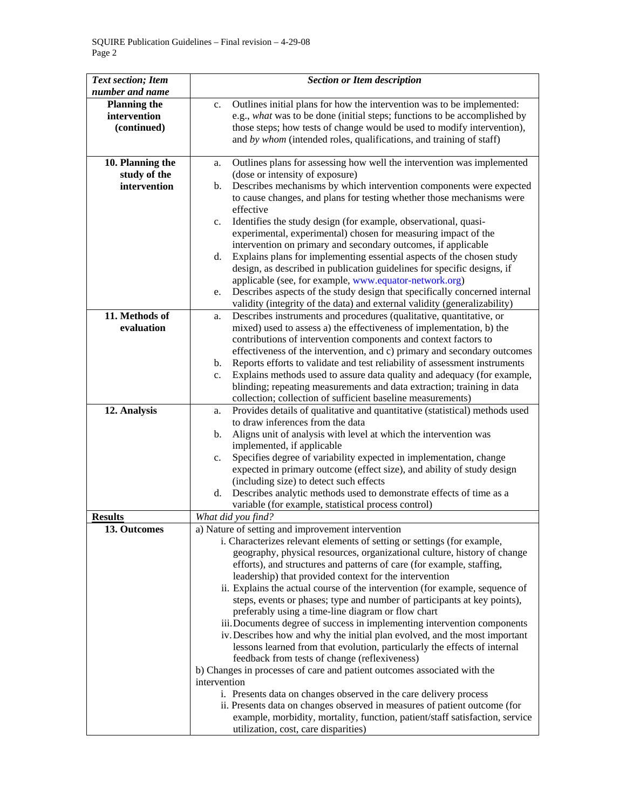| <b>Text section; Item</b> | <b>Section or Item description</b>                                                |
|---------------------------|-----------------------------------------------------------------------------------|
| number and name           |                                                                                   |
| <b>Planning the</b>       | Outlines initial plans for how the intervention was to be implemented:<br>c.      |
| intervention              | e.g., what was to be done (initial steps; functions to be accomplished by         |
| (continued)               | those steps; how tests of change would be used to modify intervention),           |
|                           | and by whom (intended roles, qualifications, and training of staff)               |
|                           |                                                                                   |
| 10. Planning the          | Outlines plans for assessing how well the intervention was implemented<br>a.      |
| study of the              | (dose or intensity of exposure)                                                   |
| intervention              | Describes mechanisms by which intervention components were expected<br>b.         |
|                           | to cause changes, and plans for testing whether those mechanisms were             |
|                           | effective                                                                         |
|                           | Identifies the study design (for example, observational, quasi-<br>c.             |
|                           | experimental, experimental) chosen for measuring impact of the                    |
|                           | intervention on primary and secondary outcomes, if applicable                     |
|                           | Explains plans for implementing essential aspects of the chosen study<br>d.       |
|                           | design, as described in publication guidelines for specific designs, if           |
|                           | applicable (see, for example, www.equator-network.org)                            |
|                           | Describes aspects of the study design that specifically concerned internal<br>e.  |
|                           | validity (integrity of the data) and external validity (generalizability)         |
| 11. Methods of            | Describes instruments and procedures (qualitative, quantitative, or<br>a.         |
| evaluation                | mixed) used to assess a) the effectiveness of implementation, b) the              |
|                           | contributions of intervention components and context factors to                   |
|                           | effectiveness of the intervention, and c) primary and secondary outcomes          |
|                           | Reports efforts to validate and test reliability of assessment instruments<br>b.  |
|                           | Explains methods used to assure data quality and adequacy (for example,<br>c.     |
|                           | blinding; repeating measurements and data extraction; training in data            |
|                           | collection; collection of sufficient baseline measurements)                       |
| 12. Analysis              | Provides details of qualitative and quantitative (statistical) methods used<br>a. |
|                           | to draw inferences from the data                                                  |
|                           | Aligns unit of analysis with level at which the intervention was<br>b.            |
|                           | implemented, if applicable                                                        |
|                           | Specifies degree of variability expected in implementation, change<br>c.          |
|                           | expected in primary outcome (effect size), and ability of study design            |
|                           | (including size) to detect such effects                                           |
|                           | Describes analytic methods used to demonstrate effects of time as a<br>d.         |
|                           | variable (for example, statistical process control)                               |
| <b>Results</b>            | What did you find?                                                                |
| 13. Outcomes              | a) Nature of setting and improvement intervention                                 |
|                           | i. Characterizes relevant elements of setting or settings (for example,           |
|                           | geography, physical resources, organizational culture, history of change          |
|                           | efforts), and structures and patterns of care (for example, staffing,             |
|                           | leadership) that provided context for the intervention                            |
|                           | ii. Explains the actual course of the intervention (for example, sequence of      |
|                           | steps, events or phases; type and number of participants at key points),          |
|                           | preferably using a time-line diagram or flow chart                                |
|                           | iii. Documents degree of success in implementing intervention components          |
|                           | iv. Describes how and why the initial plan evolved, and the most important        |
|                           | lessons learned from that evolution, particularly the effects of internal         |
|                           | feedback from tests of change (reflexiveness)                                     |
|                           | b) Changes in processes of care and patient outcomes associated with the          |
|                           | intervention                                                                      |
|                           | i. Presents data on changes observed in the care delivery process                 |
|                           | ii. Presents data on changes observed in measures of patient outcome (for         |
|                           | example, morbidity, mortality, function, patient/staff satisfaction, service      |
|                           | utilization, cost, care disparities)                                              |